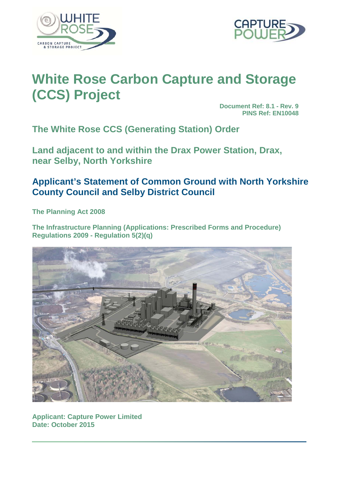



# **White Rose Carbon Capture and Storage (CCS) Project**

**Document Ref: 8.1 - Rev. 9 PINS Ref: EN10048**

**The White Rose CCS (Generating Station) Order**

**Land adjacent to and within the Drax Power Station, Drax, near Selby, North Yorkshire**

# **Applicant's Statement of Common Ground with North Yorkshire County Council and Selby District Council**

**The Planning Act 2008**

**The Infrastructure Planning (Applications: Prescribed Forms and Procedure) Regulations 2009 - Regulation 5(2)(q)**



**Applicant: Capture Power Limited Date: October 2015**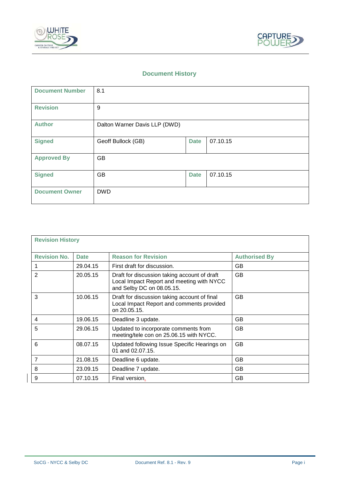



# **Document History**

| <b>Document Number</b> | 8.1                           |             |          |
|------------------------|-------------------------------|-------------|----------|
| <b>Revision</b>        | 9                             |             |          |
| <b>Author</b>          | Dalton Warner Davis LLP (DWD) |             |          |
| <b>Signed</b>          | Geoff Bullock (GB)            | <b>Date</b> | 07.10.15 |
| <b>Approved By</b>     | <b>GB</b>                     |             |          |
| <b>Signed</b>          | GB                            | <b>Date</b> | 07.10.15 |
| <b>Document Owner</b>  | <b>DWD</b>                    |             |          |

| <b>Revision History</b> |             |                                                                                                                        |                      |  |
|-------------------------|-------------|------------------------------------------------------------------------------------------------------------------------|----------------------|--|
| <b>Revision No.</b>     | <b>Date</b> | <b>Reason for Revision</b>                                                                                             | <b>Authorised By</b> |  |
|                         | 29.04.15    | First draft for discussion.                                                                                            | GB                   |  |
| 2                       | 20.05.15    | Draft for discussion taking account of draft<br>Local Impact Report and meeting with NYCC<br>and Selby DC on 08.05.15. | <b>GB</b>            |  |
| 3                       | 10.06.15    | Draft for discussion taking account of final<br>Local Impact Report and comments provided<br>on 20.05.15.              | GB                   |  |
| 4                       | 19.06.15    | Deadline 3 update.                                                                                                     | <b>GB</b>            |  |
| 5                       | 29.06.15    | Updated to incorporate comments from<br>meeting/tele con on 25.06.15 with NYCC.                                        | GB                   |  |
| 6                       | 08.07.15    | Updated following Issue Specific Hearings on<br>01 and 02.07.15.                                                       | GB                   |  |
| $\overline{7}$          | 21.08.15    | Deadline 6 update.                                                                                                     | <b>GB</b>            |  |
| 8                       | 23.09.15    | Deadline 7 update.                                                                                                     | <b>GB</b>            |  |
| 9                       | 07.10.15    | Final version.                                                                                                         | GB                   |  |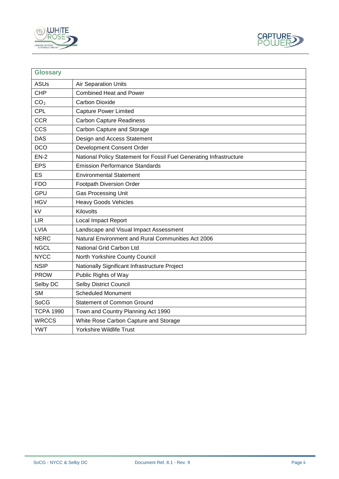



| <b>Glossary</b>  |                                                                     |
|------------------|---------------------------------------------------------------------|
| <b>ASUs</b>      | <b>Air Separation Units</b>                                         |
| <b>CHP</b>       | <b>Combined Heat and Power</b>                                      |
| CO <sub>2</sub>  | <b>Carbon Dioxide</b>                                               |
| <b>CPL</b>       | <b>Capture Power Limited</b>                                        |
| <b>CCR</b>       | <b>Carbon Capture Readiness</b>                                     |
| <b>CCS</b>       | Carbon Capture and Storage                                          |
| <b>DAS</b>       | Design and Access Statement                                         |
| <b>DCO</b>       | Development Consent Order                                           |
| $EN-2$           | National Policy Statement for Fossil Fuel Generating Infrastructure |
| <b>EPS</b>       | <b>Emission Performance Standards</b>                               |
| <b>ES</b>        | <b>Environmental Statement</b>                                      |
| <b>FDO</b>       | Footpath Diversion Order                                            |
| <b>GPU</b>       | <b>Gas Processing Unit</b>                                          |
| <b>HGV</b>       | <b>Heavy Goods Vehicles</b>                                         |
| kV               | Kilovolts                                                           |
| <b>LIR</b>       | Local Impact Report                                                 |
| <b>LVIA</b>      | Landscape and Visual Impact Assessment                              |
| <b>NERC</b>      | Natural Environment and Rural Communities Act 2006                  |
| <b>NGCL</b>      | National Grid Carbon Ltd                                            |
| <b>NYCC</b>      | North Yorkshire County Council                                      |
| <b>NSIP</b>      | Nationally Significant Infrastructure Project                       |
| <b>PROW</b>      | Public Rights of Way                                                |
| Selby DC         | <b>Selby District Council</b>                                       |
| <b>SM</b>        | <b>Scheduled Monument</b>                                           |
| <b>SoCG</b>      | <b>Statement of Common Ground</b>                                   |
| <b>TCPA 1990</b> | Town and Country Planning Act 1990                                  |
| <b>WRCCS</b>     | White Rose Carbon Capture and Storage                               |
| <b>YWT</b>       | <b>Yorkshire Wildlife Trust</b>                                     |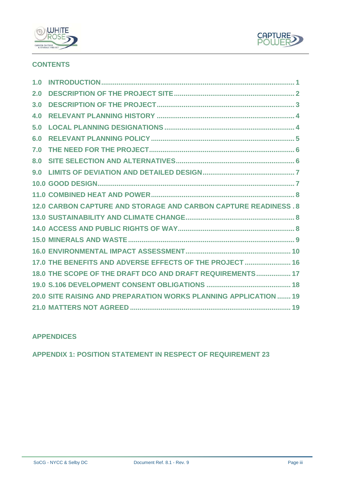



# **CONTENTS**

| 1.0 |                                                                  |
|-----|------------------------------------------------------------------|
| 2.0 |                                                                  |
| 3.0 |                                                                  |
| 4.0 |                                                                  |
| 5.0 |                                                                  |
| 6,0 |                                                                  |
| 7.0 |                                                                  |
| 8.0 |                                                                  |
| 9.0 |                                                                  |
|     |                                                                  |
|     |                                                                  |
|     | 12.0 CARBON CAPTURE AND STORAGE AND CARBON CAPTURE READINESS.8   |
|     |                                                                  |
|     |                                                                  |
|     |                                                                  |
|     |                                                                  |
|     | 17.0 THE BENEFITS AND ADVERSE EFFECTS OF THE PROJECT  16         |
|     | 18.0 THE SCOPE OF THE DRAFT DCO AND DRAFT REQUIREMENTS 17        |
|     |                                                                  |
|     | 20.0 SITE RAISING AND PREPARATION WORKS PLANNING APPLICATION  19 |
|     |                                                                  |

# **APPENDICES**

**APPENDIX 1: POSITION [STATEMENT IN RESPECT](#page-24-0) OF REQUIREMENT 23**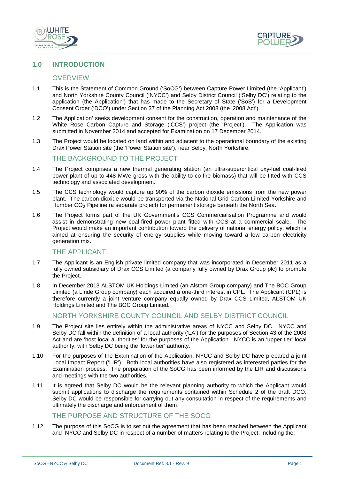



# <span id="page-4-0"></span>**1.0 INTRODUCTION**

#### **OVERVIEW**

- 1.1 This is the Statement of Common Ground ('SoCG') between Capture Power Limited (the 'Applicant') and North Yorkshire County Council ('NYCC') and Selby District Council ('Selby DC') relating to the application (the Application') that has made to the Secretary of State ('SoS') for a Development Consent Order ('DCO') under Section 37 of the Planning Act 2008 (the '2008 Act').
- 1.2 The Application' seeks development consent for the construction, operation and maintenance of the White Rose Carbon Capture and Storage ('CCS') project (the 'Project'). The Application was submitted in November 2014 and accepted for Examination on 17 December 2014.
- 1.3 The Project would be located on land within and adjacent to the operational boundary of the existing Drax Power Station site (the 'Power Station site'), near Selby, North Yorkshire.

#### THE BACKGROUND TO THE PROJECT

- 1.4 The Project comprises a new thermal generating station (an ultra-supercritical oxy-fuel coal-fired power plant of up to 448 MWe gross with the ability to co-fire biomass) that will be fitted with CCS technology and associated development.
- 1.5 The CCS technology would capture up 90% of the carbon dioxide emissions from the new power plant. The carbon dioxide would be transported via the National Grid Carbon Limited Yorkshire and Humber  $CO<sub>2</sub>$  Pipeline (a separate project) for permanent storage beneath the North Sea.
- 1.6 The Project forms part of the UK Government's CCS Commercialisation Programme and would assist in demonstrating new coal-fired power plant fitted with CCS at a commercial scale. The Project would make an important contribution toward the delivery of national energy policy, which is aimed at ensuring the security of energy supplies while moving toward a low carbon electricity generation mix.

## THE APPLICANT

- 1.7 The Applicant is an English private limited company that was incorporated in December 2011 as a fully owned subsidiary of Drax CCS Limited (a company fully owned by Drax Group plc) to promote the Project.
- 1.8 In December 2013 ALSTOM UK Holdings Limited (an Alstom Group company) and The BOC Group Limited (a Linde Group company) each acquired a one-third interest in CPL. The Applicant (CPL) is therefore currently a joint venture company equally owned by Drax CCS Limited, ALSTOM UK Holdings Limited and The BOC Group Limited.

# NORTH YORKSHIRE COUNTY COUNCIL AND SELBY DISTRICT COUNCIL

- 1.9 The Project site lies entirely within the administrative areas of NYCC and Selby DC. NYCC and Selby DC fall within the definition of a local authority ('LA') for the purposes of Section 43 of the 2008 Act and are 'host local authorities' for the purposes of the Application. NYCC is an 'upper tier' local authority, with Selby DC being the 'lower tier' authority.
- 1.10 For the purposes of the Examination of the Application, NYCC and Selby DC have prepared a joint Local Impact Report ('LIR'). Both local authorities have also registered as interested parties for the Examination process. The preparation of the SoCG has been informed by the LIR and discussions and meetings with the two authorities.
- 1.11 It is agreed that Selby DC would be the relevant planning authority to which the Applicant would submit applications to discharge the requirements contained within Schedule 2 of the draft DCO. Selby DC would be responsible for carrying out any consultation in respect of the requirements and ultimately the discharge and enforcement of them.

# THE PURPOSE AND STRUCTURE OF THE SOCG

1.12 The purpose of this SoCG is to set out the agreement that has been reached between the Applicant and NYCC and Selby DC in respect of a number of matters relating to the Project, including the: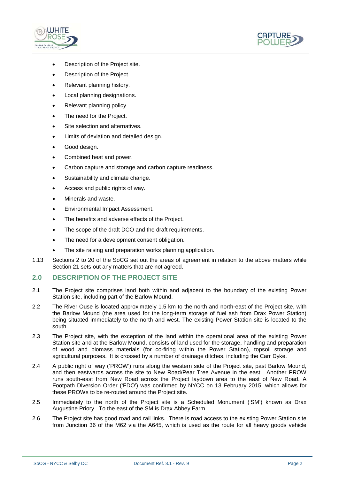



- Description of the Project site.
- Description of the Project.
- Relevant planning history.
- Local planning designations.
- Relevant planning policy.
- The need for the Project.
- Site selection and alternatives.
- Limits of deviation and detailed design.
- Good design.
- Combined heat and power.
- Carbon capture and storage and carbon capture readiness.
- Sustainability and climate change.
- Access and public rights of way.
- Minerals and waste.
- Environmental Impact Assessment.
- The benefits and adverse effects of the Project.
- The scope of the draft DCO and the draft requirements.
- The need for a development consent obligation.
- The site raising and preparation works planning application.
- 1.13 Sections 2 to 20 of the SoCG set out the areas of agreement in relation to the above matters while Section 21 sets out any matters that are not agreed.

# <span id="page-5-0"></span>**2.0 DESCRIPTION OF THE PROJECT SITE**

- 2.1 The Project site comprises land both within and adjacent to the boundary of the existing Power Station site, including part of the Barlow Mound.
- 2.2 The River Ouse is located approximately 1.5 km to the north and north-east of the Project site, with the Barlow Mound (the area used for the long-term storage of fuel ash from Drax Power Station) being situated immediately to the north and west. The existing Power Station site is located to the south.
- 2.3 The Project site, with the exception of the land within the operational area of the existing Power Station site and at the Barlow Mound, consists of land used for the storage, handling and preparation of wood and biomass materials (for co-firing within the Power Station), topsoil storage and agricultural purposes. It is crossed by a number of drainage ditches, including the Carr Dyke.
- 2.4 A public right of way ('PROW') runs along the western side of the Project site, past Barlow Mound, and then eastwards across the site to New Road/Pear Tree Avenue in the east. Another PROW runs south-east from New Road across the Project laydown area to the east of New Road. A Footpath Diversion Order ('FDO') was confirmed by NYCC on 13 February 2015, which allows for these PROWs to be re-routed around the Project site.
- 2.5 Immediately to the north of the Project site is a Scheduled Monument ('SM') known as Drax Augustine Priory. To the east of the SM is Drax Abbey Farm.
- 2.6 The Project site has good road and rail links. There is road access to the existing Power Station site from Junction 36 of the M62 via the A645, which is used as the route for all heavy goods vehicle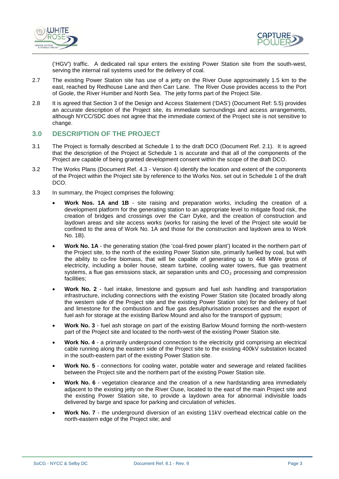



('HGV') traffic. A dedicated rail spur enters the existing Power Station site from the south-west, serving the internal rail systems used for the delivery of coal.

- 2.7 The existing Power Station site has use of a jetty on the River Ouse approximately 1.5 km to the east, reached by Redhouse Lane and then Carr Lane. The River Ouse provides access to the Port of Goole, the River Humber and North Sea. The jetty forms part of the Project Site.
- 2.8 It is agreed that Section 3 of the Design and Access Statement ('DAS') (Document Ref: 5.5) provides an accurate description of the Project site, its immediate surroundings and access arrangements, although NYCC/SDC does not agree that the immediate context of the Project site is not sensitive to change.

# <span id="page-6-0"></span>**3.0 DESCRIPTION OF THE PROJECT**

- 3.1 The Project is formally described at Schedule 1 to the draft DCO (Document Ref. 2.1). It is agreed that the description of the Project at Schedule 1 is accurate and that all of the components of the Project are capable of being granted development consent within the scope of the draft DCO.
- 3.2 The Works Plans (Document Ref. 4.3 Version 4) identify the location and extent of the components of the Project within the Project site by reference to the Works Nos. set out in Schedule 1 of the draft DCO.
- 3.3 In summary, the Project comprises the following:
	- **Work Nos. 1A and 1B** site raising and preparation works, including the creation of a development platform for the generating station to an appropriate level to mitigate flood risk, the creation of bridges and crossings over the Carr Dyke, and the creation of construction and laydown areas and site access works (works for raising the level of the Project site would be confined to the area of Work No. 1A and those for the construction and laydown area to Work No. 1B).
	- **Work No. 1A** the generating station (the 'coal-fired power plant') located in the northern part of the Project site, to the north of the existing Power Station site, primarily fuelled by coal, but with the ability to co-fire biomass, that will be capable of generating up to 448 MWe gross of electricity, including a boiler house, steam turbine, cooling water towers, flue gas treatment systems, a flue gas emissions stack, air separation units and  $CO<sub>2</sub>$  processing and compression facilities;
	- **Work No. 2**  fuel intake, limestone and gypsum and fuel ash handling and transportation infrastructure, including connections with the existing Power Station site (located broadly along the western side of the Project site and the existing Power Station site) for the delivery of fuel and limestone for the combustion and flue gas desulphurisation processes and the export of fuel ash for storage at the existing Barlow Mound and also for the transport of gypsum;
	- **Work No. 3** fuel ash storage on part of the existing Barlow Mound forming the north-western part of the Project site and located to the north-west of the existing Power Station site.
	- **Work No. 4** a primarily underground connection to the electricity grid comprising an electrical cable running along the eastern side of the Project site to the existing 400kV substation located in the south-eastern part of the existing Power Station site.
	- **Work No. 5** connections for cooling water, potable water and sewerage and related facilities between the Project site and the northern part of the existing Power Station site.
	- Work No. 6 vegetation clearance and the creation of a new hardstanding area immediately adjacent to the existing jetty on the River Ouse, located to the east of the main Project site and the existing Power Station site, to provide a laydown area for abnormal indivisible loads delivered by barge and space for parking and circulation of vehicles.
	- **Work No. 7** the underground diversion of an existing 11kV overhead electrical cable on the north-eastern edge of the Project site; and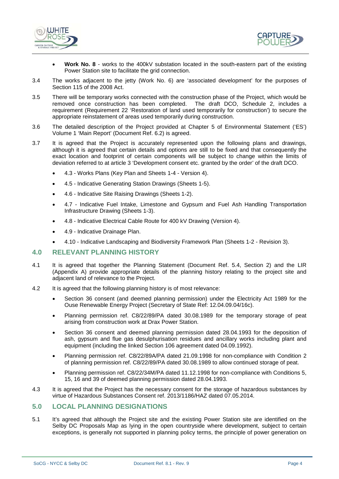



- **Work No. 8** works to the 400kV substation located in the south-eastern part of the existing Power Station site to facilitate the grid connection.
- 3.4 The works adjacent to the jetty (Work No. 6) are 'associated development' for the purposes of Section 115 of the 2008 Act.
- 3.5 There will be temporary works connected with the construction phase of the Project, which would be removed once construction has been completed. requirement (Requirement 22 'Restoration of land used temporarily for construction') to secure the appropriate reinstatement of areas used temporarily during construction.
- 3.6 The detailed description of the Project provided at Chapter 5 of Environmental Statement ('ES') Volume 1 'Main Report' (Document Ref. 6.2) is agreed.
- 3.7 It is agreed that the Project is accurately represented upon the following plans and drawings, although it is agreed that certain details and options are still to be fixed and that consequently the exact location and footprint of certain components will be subject to change within the limits of deviation referred to at article 3 'Development consent etc. granted by the order' of the draft DCO.
	- 4.3 Works Plans (Key Plan and Sheets 1-4 Version 4).
	- 4.5 Indicative Generating Station Drawings (Sheets 1-5).
	- 4.6 Indicative Site Raising Drawings (Sheets 1-2).
	- 4.7 Indicative Fuel Intake, Limestone and Gypsum and Fuel Ash Handling Transportation Infrastructure Drawing (Sheets 1-3).
	- 4.8 Indicative Electrical Cable Route for 400 kV Drawing (Version 4).
	- 4.9 Indicative Drainage Plan.
	- 4.10 Indicative Landscaping and Biodiversity Framework Plan (Sheets 1-2 Revision 3).

#### <span id="page-7-0"></span>**4.0 RELEVANT PLANNING HISTORY**

- 4.1 It is agreed that together the Planning Statement (Document Ref. 5.4, Section 2) and the LIR (Appendix A) provide appropriate details of the planning history relating to the project site and adjacent land of relevance to the Project.
- 4.2 It is agreed that the following planning history is of most relevance:
	- Section 36 consent (and deemed planning permission) under the Electricity Act 1989 for the Ouse Renewable Energy Project (Secretary of State Ref: 12.04.09.04/16c).
	- Planning permission ref. C8/22/89/PA dated 30.08.1989 for the temporary storage of peat arising from construction work at Drax Power Station.
	- Section 36 consent and deemed planning permission dated 28.04.1993 for the deposition of ash, gypsum and flue gas desulphurisation residues and ancillary works including plant and equipment (including the linked Section 106 agreement dated 04.09.1992).
	- Planning permission ref. C8/22/89A/PA dated 21.09.1998 for non-compliance with Condition 2 of planning permission ref. C8/22/89/PA dated 30.08.1989 to allow continued storage of peat.
	- Planning permission ref. C8/22/34M/PA dated 11.12.1998 for non-compliance with Conditions 5, 15, 16 and 39 of deemed planning permission dated 28.04.1993.
- 4.3 It is agreed that the Project has the necessary consent for the storage of hazardous substances by virtue of Hazardous Substances Consent ref. 2013/1186/HAZ dated 07.05.2014.

#### <span id="page-7-1"></span>**5.0 LOCAL PLANNING DESIGNATIONS**

5.1 It's agreed that although the Project site and the existing Power Station site are identified on the Selby DC Proposals Map as lying in the open countryside where development, subject to certain exceptions, is generally not supported in planning policy terms, the principle of power generation on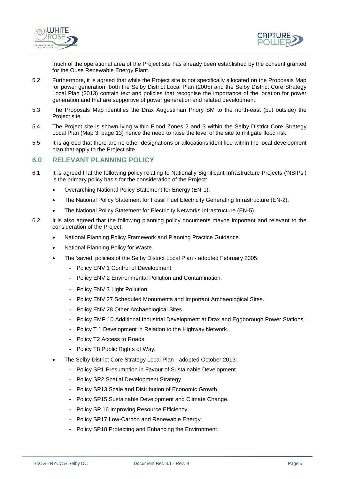



much of the operational area of the Project site has already been established by the consent granted for the Ouse Renewable Energy Plant.

- 5.2 Furthermore, it is agreed that while the Project site is not specifically allocated on the Proposals Map for power generation, both the Selby District Local Plan (2005) and the Selby District Core Strategy Local Plan (2013) contain text and policies that recognise the importance of the location for power generation and that are supportive of power generation and related development.
- 5.3 The Proposals Map identifies the Drax Augustinian Priory SM to the north-east (but outside) the Project site.
- 5.4 The Project site is shown lying within Flood Zones 2 and 3 within the Selby District Core Strategy Local Plan (Map 3, page 13) hence the need to raise the level of the site to mitigate flood risk.
- 5.5 It is agreed that there are no other designations or allocations identified within the local development plan that apply to the Project site.

# <span id="page-8-0"></span>**6.0 RELEVANT PLANNING POLICY**

- 6.1 It is agreed that the following policy relating to Nationally Significant Infrastructure Projects ('NSIPs') is the primary policy basis for the consideration of the Project:
	- Overarching National Policy Statement for Energy (EN-1).
	- The National Policy Statement for Fossil Fuel Electricity Generating Infrastructure (EN-2).
	- The National Policy Statement for Electricity Networks Infrastructure (EN-5).
- 6.2 It is also agreed that the following planning policy documents maybe important and relevant to the consideration of the Project:
	- National Planning Policy Framework and Planning Practice Guidance.
		- National Planning Policy for Waste.
		- The 'saved' policies of the Selby District Local Plan adopted February 2005:
			- Policy ENV 1 Control of Development.
			- Policy ENV 2 Environmental Pollution and Contamination.
			- Policy ENV 3 Light Pollution.
			- Policy ENV 27 Scheduled Monuments and Important Archaeological Sites.
			- Policy ENV 28 Other Archaeological Sites.
			- Policy EMP 10 Additional Industrial Development at Drax and Eggborough Power Stations.
			- Policy T 1 Development in Relation to the Highway Network.
			- Policy T2 Access to Roads.
			- Policy T8 Public Rights of Way.
		- The Selby District Core Strategy Local Plan adopted October 2013:
			- Policy SP1 Presumption in Favour of Sustainable Development.
			- Policy SP2 Spatial Development Strategy.
			- Policy SP13 Scale and Distribution of Economic Growth.
			- Policy SP15 Sustainable Development and Climate Change.
			- Policy SP 16 Improving Resource Efficiency.
			- Policy SP17 Low-Carbon and Renewable Energy.
			- Policy SP18 Protecting and Enhancing the Environment.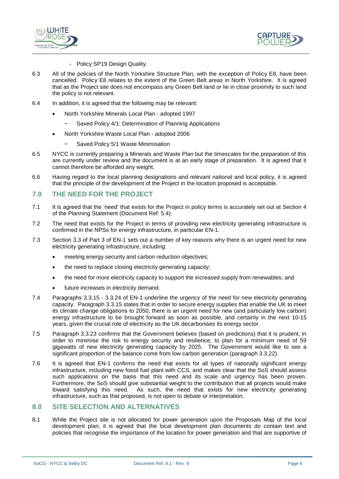



- Policy SP19 Design Quality.
- 6.3 All of the policies of the North Yorkshire Structure Plan, with the exception of Policy E8, have been cancelled. Policy E8 relates to the extent of the Green Belt areas in North Yorkshire. It is agreed that as the Project site does not encompass any Green Belt land or lie in close proximity to such land the policy is not relevant.
- 6.4 In addition, it is agreed that the following may be relevant:
	- North Yorkshire Minerals Local Plan adopted 1997
		- Saved Policy 4/1: Determination of Planning Applications
	- North Yorkshire Waste Local Plan adopted 2006
		- − Saved Policy 5/1 Waste Minimisation
- 6.5 NYCC is currently preparing a Minerals and Waste Plan but the timescales for the preparation of this are currently under review and the document is at an early stage of preparation. It is agreed that it cannot therefore be afforded any weight.
- 6.6 Having regard to the local planning designations and relevant national and local policy, it is agreed that the principle of the development of the Project in the location proposed is acceptable.

# <span id="page-9-0"></span>**7.0 THE NEED FOR THE PROJECT**

- 7.1 It is agreed that the 'need' that exists for the Project in policy terms is accurately set out at Section 4 of the Planning Statement (Document Ref: 5.4).
- 7.2 The need that exists for the Project in terms of providing new electricity generating infrastructure is confirmed in the NPSs for energy infrastructure, in particular EN-1.
- 7.3 Section 3.3 of Part 3 of EN-1 sets out a number of key reasons why there is an urgent need for new electricity generating infrastructure, including:
	- meeting energy security and carbon reduction objectives;
	- the need to replace closing electricity generating capacity;
	- the need for more electricity capacity to support the increased supply from renewables; and
	- future increases in electricity demand.
- 7.4 Paragraphs 3.3.15 3.3.24 of EN-1 underline the urgency of the need for new electricity generating capacity. Paragraph 3.3.15 states that in order to secure energy supplies that enable the UK to meet its climate change obligations to 2050, there is an urgent need for new (and particularly low carbon) energy infrastructure to be brought forward as soon as possible, and certainly in the next 10-15 years, given the crucial role of electricity as the UK decarbonises its energy sector.
- 7.5 Paragraph 3.3.23 confirms that the Government believes (based on predictions) that it is prudent, in order to minimise the risk to energy security and resilience, to plan for a minimum need of 59 gigawatts of new electricity generating capacity by 2025. The Government would like to see a significant proportion of the balance come from low carbon generation (paragraph 3.3.22).
- 7.6 It is agreed that EN-1 confirms the need that exists for all types of nationally significant energy infrastructure, including new fossil fuel plant with CCS, and makes clear that the SoS should assess such applications on the basis that this need and its scale and urgency has been proven. Furthermore, the SoS should give substantial weight to the contribution that all projects would make toward satisfying this need. As such, the need that exists for new electricity generating infrastructure, such as that proposed, is not open to debate or interpretation.

# <span id="page-9-1"></span>**8.0 SITE SELECTION AND ALTERNATIVES**

8.1 While the Project site is not allocated for power generation upon the Proposals Map of the local development plan, it is agreed that the local development plan documents do contain text and policies that recognise the importance of the location for power generation and that are supportive of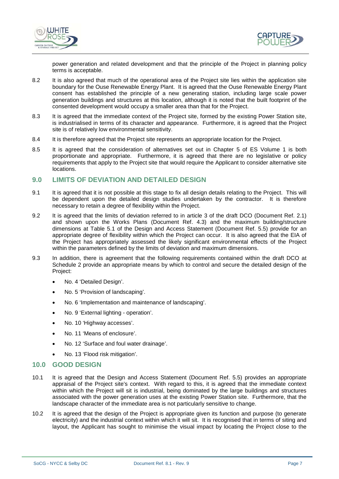



power generation and related development and that the principle of the Project in planning policy terms is acceptable.

- 8.2 It is also agreed that much of the operational area of the Project site lies within the application site boundary for the Ouse Renewable Energy Plant. It is agreed that the Ouse Renewable Energy Plant consent has established the principle of a new generating station, including large scale power generation buildings and structures at this location, although it is noted that the built footprint of the consented development would occupy a smaller area than that for the Project.
- 8.3 It is agreed that the immediate context of the Project site, formed by the existing Power Station site, is industrialised in terms of its character and appearance. Furthermore, it is agreed that the Project site is of relatively low environmental sensitivity.
- 8.4 It is therefore agreed that the Project site represents an appropriate location for the Project.
- 8.5 It is agreed that the consideration of alternatives set out in Chapter 5 of ES Volume 1 is both proportionate and appropriate. Furthermore, it is agreed that there are no legislative or policy requirements that apply to the Project site that would require the Applicant to consider alternative site locations.

# <span id="page-10-0"></span>**9.0 LIMITS OF DEVIATION AND DETAILED DESIGN**

- 9.1 It is agreed that it is not possible at this stage to fix all design details relating to the Project. This will be dependent upon the detailed design studies undertaken by the contractor. It is therefore necessary to retain a degree of flexibility within the Project.
- 9.2 It is agreed that the limits of deviation referred to in article 3 of the draft DCO (Document Ref. 2.1) and shown upon the Works Plans (Document Ref. 4.3) and the maximum building/structure dimensions at Table 5.1 of the Design and Access Statement (Document Ref. 5.5) provide for an appropriate degree of flexibility within which the Project can occur. It is also agreed that the EIA of the Project has appropriately assessed the likely significant environmental effects of the Project within the parameters defined by the limits of deviation and maximum dimensions.
- 9.3 In addition, there is agreement that the following requirements contained within the draft DCO at Schedule 2 provide an appropriate means by which to control and secure the detailed design of the Project:
	- No. 4 'Detailed Design'.
	- No. 5 'Provision of landscaping'.
	- No. 6 'Implementation and maintenance of landscaping'.
	- No. 9 'External lighting operation'.
	- No. 10 'Highway accesses'.
	- No. 11 'Means of enclosure'.
	- No. 12 'Surface and foul water drainage'.
	- No. 13 'Flood risk mitigation'.

# <span id="page-10-1"></span>**10.0 GOOD DESIGN**

- 10.1 It is agreed that the Design and Access Statement (Document Ref. 5.5) provides an appropriate appraisal of the Project site's context. With regard to this, it is agreed that the immediate context within which the Project will sit is industrial, being dominated by the large buildings and structures associated with the power generation uses at the existing Power Station site. Furthermore, that the landscape character of the immediate area is not particularly sensitive to change.
- 10.2 It is agreed that the design of the Project is appropriate given its function and purpose (to generate electricity) and the industrial context within which it will sit. It is recognised that in terms of siting and layout, the Applicant has sought to minimise the visual impact by locating the Project close to the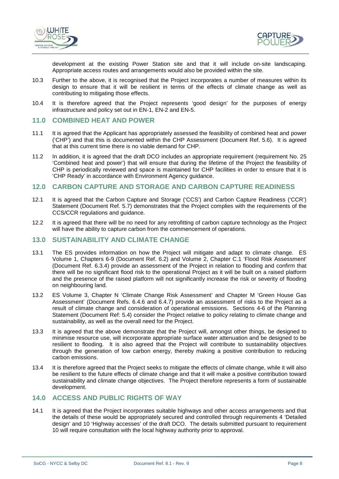



development at the existing Power Station site and that it will include on-site landscaping. Appropriate access routes and arrangements would also be provided within the site.

- 10.3 Further to the above, it is recognised that the Project incorporates a number of measures within its design to ensure that it will be resilient in terms of the effects of climate change as well as contributing to mitigating those effects.
- 10.4 It is therefore agreed that the Project represents 'good design' for the purposes of energy infrastructure and policy set out in EN-1, EN-2 and EN-5.

#### <span id="page-11-0"></span>**11.0 COMBINED HEAT AND POWER**

- 11.1 It is agreed that the Applicant has appropriately assessed the feasibility of combined heat and power ('CHP') and that this is documented within the CHP Assessment (Document Ref. 5.6). It is agreed that at this current time there is no viable demand for CHP.
- 11.2 In addition, it is agreed that the draft DCO includes an appropriate requirement (requirement No. 25 'Combined heat and power') that will ensure that during the lifetime of the Project the feasibility of CHP is periodically reviewed and space is maintained for CHP facilities in order to ensure that it is 'CHP Ready' in accordance with Environment Agency guidance.

# <span id="page-11-1"></span>**12.0 CARBON CAPTURE AND STORAGE AND CARBON CAPTURE READINESS**

- 12.1 It is agreed that the Carbon Capture and Storage ('CCS') and Carbon Capture Readiness ('CCR') Statement (Document Ref. 5.7) demonstrates that the Project complies with the requirements of the CCS/CCR regulations and guidance.
- 12.2 It is agreed that there will be no need for any retrofitting of carbon capture technology as the Project will have the ability to capture carbon from the commencement of operations.

# <span id="page-11-2"></span>**13.0 SUSTAINABILITY AND CLIMATE CHANGE**

- 13.1 The ES provides information on how the Project will mitigate and adapt to climate change. ES Volume 1, Chapters 6-9 (Document Ref. 6.2) and Volume 2, Chapter C.1 'Flood Risk Assessment' (Document Ref. 6.3.4) provide an assessment of the Project in relation to flooding and confirm that there will be no significant flood risk to the operational Project as it will be built on a raised platform and the presence of the raised platform will not significantly increase the risk or severity of flooding on neighbouring land.
- 13.2 ES Volume 3, Chapter N 'Climate Change Risk Assessment' and Chapter M 'Green House Gas Assessment' (Document Refs. 6.4.6 and 6.4.7) provide an assessment of risks to the Project as a result of climate change and consideration of operational emissions. Sections 4-6 of the Planning Statement (Document Ref: 5.4) consider the Project relative to policy relating to climate change and sustainability, as well as the overall need for the Project.
- 13.3 It is agreed that the above demonstrate that the Project will, amongst other things, be designed to minimise resource use, will incorporate appropriate surface water attenuation and be designed to be resilient to flooding. It is also agreed that the Project will contribute to sustainability objectives through the generation of low carbon energy, thereby making a positive contribution to reducing carbon emissions.
- 13.4 It is therefore agreed that the Project seeks to mitigate the effects of climate change, while it will also be resilient to the future effects of climate change and that it will make a positive contribution toward sustainability and climate change objectives. The Project therefore represents a form of sustainable development.

# <span id="page-11-3"></span>**14.0 ACCESS AND PUBLIC RIGHTS OF WAY**

14.1 It is agreed that the Project incorporates suitable highways and other access arrangements and that the details of these would be appropriately secured and controlled through requirements 4 'Detailed design' and 10 'Highway accesses' of the draft DCO. The details submitted pursuant to requirement 10 will require consultation with the local highway authority prior to approval.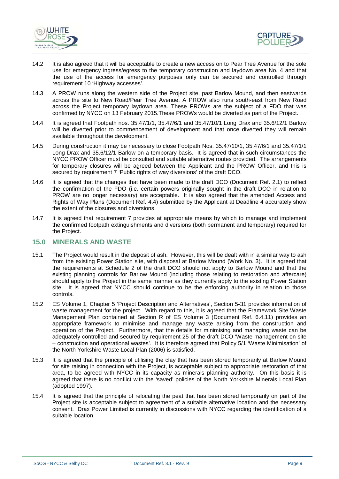



- 14.2 It is also agreed that it will be acceptable to create a new access on to Pear Tree Avenue for the sole use for emergency ingress/egress to the temporary construction and laydown area No. 4 and that the use of the access for emergency purposes only can be secured and controlled through requirement 10 'Highway accesses'.
- 14.3 A PROW runs along the western side of the Project site, past Barlow Mound, and then eastwards across the site to New Road/Pear Tree Avenue. A PROW also runs south-east from New Road across the Project temporary laydown area. These PROWs are the subject of a FDO that was confirmed by NYCC on 13 February 2015.These PROWs would be diverted as part of the Project.
- 14.4 It is agreed that Footpath nos. 35.47/1/1, 35.47/6/1 and 35.47/10/1 Long Drax and 35.6/12/1 Barlow will be diverted prior to commencement of development and that once diverted they will remain available throughout the development.
- 14.5 During construction it may be necessary to close Footpath Nos. 35.47/10/1, 35.47/6/1 and 35.47/1/1 Long Drax and 35.6/12/1 Barlow on a temporary basis. It is agreed that in such circumstances the NYCC PROW Officer must be consulted and suitable alternative routes provided. The arrangements for temporary closures will be agreed between the Applicant and the PROW Officer, and this is secured by requirement 7 'Public rights of way diversions' of the draft DCO.
- 14.6 It is agreed that the changes that have been made to the draft DCO (Document Ref. 2.1) to reflect the confirmation of the FDO (i.e. certain powers originally sought in the draft DCO in relation to PROW are no longer necessary) are acceptable. It is also agreed that the amended Access and Rights of Way Plans (Document Ref. 4.4) submitted by the Applicant at Deadline 4 accurately show the extent of the closures and diversions.
- 14.7 It is agreed that requirement 7 provides at appropriate means by which to manage and implement the confirmed footpath extinguishments and diversions (both permanent and temporary) required for the Project.

# <span id="page-12-0"></span>**15.0 MINERALS AND WASTE**

- 15.1 The Project would result in the deposit of ash. However, this will be dealt with in a similar way to ash from the existing Power Station site, with disposal at Barlow Mound (Work No. 3). It is agreed that the requirements at Schedule 2 of the draft DCO should not apply to Barlow Mound and that the existing planning controls for Barlow Mound (including those relating to restoration and aftercare) should apply to the Project in the same manner as they currently apply to the existing Power Station site. It is agreed that NYCC should continue to be the enforcing authority in relation to those controls.
- 15.2 ES Volume 1, Chapter 5 'Project Description and Alternatives', Section 5-31 provides information of waste management for the project. With regard to this, it is agreed that the Framework Site Waste Management Plan contained at Section R of ES Volume 3 (Document Ref. 6.4.11) provides an appropriate framework to minimise and manage any waste arising from the construction and operation of the Project. Furthermore, that the details for minimising and managing waste can be adequately controlled and secured by requirement 25 of the draft DCO 'Waste management on site – construction and operational wastes'. It is therefore agreed that Policy 5/1 'Waste Minimisation' of the North Yorkshire Waste Local Plan (2006) is satisfied.
- 15.3 It is agreed that the principle of utilising the clay that has been stored temporarily at Barlow Mound for site raising in connection with the Project, is acceptable subject to appropriate restoration of that area, to be agreed with NYCC in its capacity as minerals planning authority. On this basis it is agreed that there is no conflict with the 'saved' policies of the North Yorkshire Minerals Local Plan (adopted 1997).
- 15.4 It is agreed that the principle of relocating the peat that has been stored temporarily on part of the Project site is acceptable subject to agreement of a suitable alternative location and the necessary consent. Drax Power Limited is currently in discussions with NYCC regarding the identification of a suitable location.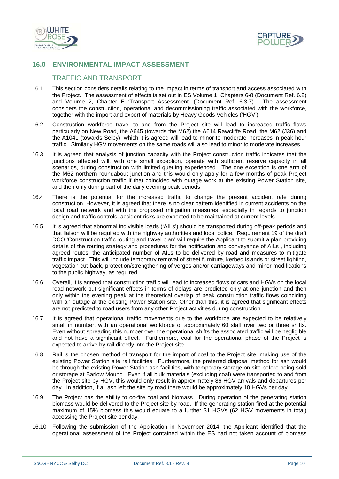



# <span id="page-13-0"></span>**16.0 ENVIRONMENTAL IMPACT ASSESSMENT**

# TRAFFIC AND TRANSPORT

- 16.1 This section considers details relating to the impact in terms of transport and access associated with the Project. The assessment of effects is set out in ES Volume 1, Chapters 6-8 (Document Ref. 6.2) and Volume 2, Chapter E 'Transport Assessment' (Document Ref. 6.3.7). The assessment considers the construction, operational and decommissioning traffic associated with the workforce, together with the import and export of materials by Heavy Goods Vehicles ('HGV').
- 16.2 Construction workforce travel to and from the Project site will lead to increased traffic flows particularly on New Road, the A645 (towards the M62) the A614 Rawcliffe Road, the M62 (J36) and the A1041 (towards Selby), which it is agreed will lead to minor to moderate increases in peak hour traffic. Similarly HGV movements on the same roads will also lead to minor to moderate increases.
- 16.3 It is agreed that analysis of junction capacity with the Project construction traffic indicates that the junctions affected will, with one small exception, operate with sufficient reserve capacity in all scenarios, during construction with limited queuing experienced. The one exception is one arm of the M62 northern roundabout junction and this would only apply for a few months of peak Project workforce construction traffic if that coincided with outage work at the existing Power Station site, and then only during part of the daily evening peak periods.
- 16.4 There is the potential for the increased traffic to change the present accident rate during construction. However, it is agreed that there is no clear pattern identified in current accidents on the local road network and with the proposed mitigation measures, especially in regards to junction design and traffic controls, accident risks are expected to be maintained at current levels.
- 16.5 It is agreed that abnormal indivisible loads ('AILs') should be transported during off-peak periods and that liaison will be required with the highway authorities and local police. Requirement 19 of the draft DCO 'Construction traffic routing and travel plan' will require the Applicant to submit a plan providing details of the routing strategy and procedures for the notification and conveyance of AILs , including agreed routes, the anticipated number of AILs to be delivered by road and measures to mitigate traffic impact. This will include temporary removal of street furniture, kerbed islands or street lighting, vegetation cut-back, protection/strengthening of verges and/or carriageways and minor modifications to the public highway, as required.
- 16.6 Overall, it is agreed that construction traffic will lead to increased flows of cars and HGVs on the local road network but significant effects in terms of delays are predicted only at one junction and then only within the evening peak at the theoretical overlap of peak construction traffic flows coinciding with an outage at the existing Power Station site. Other than this, it is agreed that significant effects are not predicted to road users from any other Project activities during construction.
- 16.7 It is agreed that operational traffic movements due to the workforce are expected to be relatively small in number, with an operational workforce of approximately 60 staff over two or three shifts. Even without spreading this number over the operational shifts the associated traffic will be negligible and not have a significant effect. Furthermore, coal for the operational phase of the Project is expected to arrive by rail directly into the Project site.
- 16.8 Rail is the chosen method of transport for the import of coal to the Project site, making use of the existing Power Station site rail facilities. Furthermore, the preferred disposal method for ash would be through the existing Power Station ash facilities, with temporary storage on site before being sold or storage at Barlow Mound. Even if all bulk materials (excluding coal) were transported to and from the Project site by HGV, this would only result in approximately 86 HGV arrivals and departures per day. In addition, if all ash left the site by road there would be approximately 10 HGVs per day.
- 16.9 The Project has the ability to co-fire coal and biomass. During operation of the generating station biomass would be delivered to the Project site by road. If the generating station fired at the potential maximum of 15% biomass this would equate to a further 31 HGVs (62 HGV movements in total) accessing the Project site per day.
- 16.10 Following the submission of the Application in November 2014, the Applicant identified that the operational assessment of the Project contained within the ES had not taken account of biomass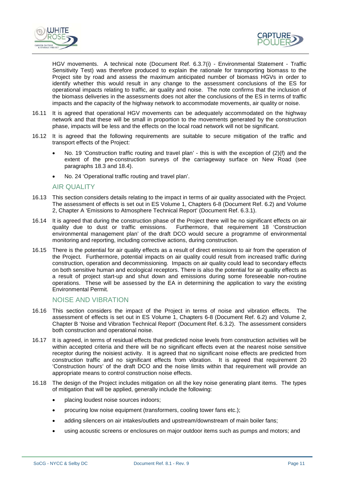



HGV movements. A technical note (Document Ref. 6.3.7(i) - Environmental Statement - Traffic Sensitivity Test) was therefore produced to explain the rationale for transporting biomass to the Project site by road and assess the maximum anticipated number of biomass HGVs in order to identify whether this would result in any change to the assessment conclusions of the ES for operational impacts relating to traffic, air quality and noise. The note confirms that the inclusion of the biomass deliveries in the assessments does not alter the conclusions of the ES in terms of traffic impacts and the capacity of the highway network to accommodate movements, air quality or noise.

- 16.11 It is agreed that operational HGV movements can be adequately accommodated on the highway network and that these will be small in proportion to the movements generated by the construction phase, impacts will be less and the effects on the local road network will not be significant.
- 16.12 It is agreed that the following requirements are suitable to secure mitigation of the traffic and transport effects of the Project:
	- No. 19 'Construction traffic routing and travel plan' this is with the exception of (2)(f) and the extent of the pre-construction surveys of the carriageway surface on New Road (see paragraphs 18.3 and 18.4).
	- No. 24 'Operational traffic routing and travel plan'.

# AIR QUALITY

- 16.13 This section considers details relating to the impact in terms of air quality associated with the Project. The assessment of effects is set out in ES Volume 1, Chapters 6-8 (Document Ref. 6.2) and Volume 2, Chapter A 'Emissions to Atmosphere Technical Report' (Document Ref. 6.3.1).
- 16.14 It is agreed that during the construction phase of the Project there will be no significant effects on air<br>quality due to dust or traffic emissions. Furthermore, that requirement 18 'Construction Furthermore, that requirement 18 'Construction environmental management plan' of the draft DCO would secure a programme of environmental monitoring and reporting, including corrective actions, during construction.
- 16.15 There is the potential for air quality effects as a result of direct emissions to air from the operation of the Project. Furthermore, potential impacts on air quality could result from increased traffic during construction, operation and decommissioning. Impacts on air quality could lead to secondary effects on both sensitive human and ecological receptors. There is also the potential for air quality effects as a result of project start-up and shut down and emissions during some foreseeable non-routine operations. These will be assessed by the EA in determining the application to vary the existing Environmental Permit.

# NOISE AND VIBRATION

- 16.16 This section considers the impact of the Project in terms of noise and vibration effects. The assessment of effects is set out in ES Volume 1, Chapters 6-8 (Document Ref. 6.2) and Volume 2, Chapter B 'Noise and Vibration Technical Report' (Document Ref. 6.3.2). The assessment considers both construction and operational noise.
- 16.17 It is agreed, in terms of residual effects that predicted noise levels from construction activities will be within accepted criteria and there will be no significant effects even at the nearest noise sensitive receptor during the noisiest activity. It is agreed that no significant noise effects are predicted from construction traffic and no significant effects from vibration. It is agreed that requirement 20 'Construction hours' of the draft DCO and the noise limits within that requirement will provide an appropriate means to control construction noise effects.
- 16.18 The design of the Project includes mitigation on all the key noise generating plant items. The types of mitigation that will be applied, generally include the following:
	- placing loudest noise sources indoors;
	- procuring low noise equipment (transformers, cooling tower fans etc.);
	- adding silencers on air intakes/outlets and upstream/downstream of main boiler fans;
	- using acoustic screens or enclosures on major outdoor items such as pumps and motors; and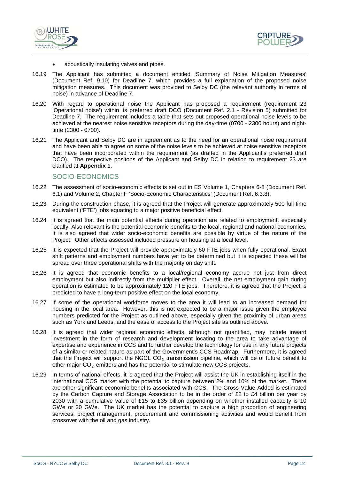



- acoustically insulating valves and pipes.
- 16.19 The Applicant has submitted a document entitled 'Summary of Noise Mitigation Measures' (Document Ref. 9.10) for Deadline 7, which provides a full explanation of the proposed noise mitigation measures. This document was provided to Selby DC (the relevant authority in terms of noise) in advance of Deadline 7.
- 16.20 With regard to operational noise the Applicant has proposed a requirement (requirement 23 'Operational noise') within its preferred draft DCO (Document Ref. 2.1 - Revision 5) submitted for Deadline 7. The requirement includes a table that sets out proposed operational noise levels to be achieved at the nearest noise sensitive receptors during the day-time (0700 - 2300 hours) and nighttime (2300 - 0700).
- 16.21 The Applicant and Selby DC are in agreement as to the need for an operational noise requirement and have been able to agree on some of the noise levels to be achieved at noise sensitive receptors that have been incorporated within the requirement (as drafted in the Applicant's preferred draft DCO). The respective positons of the Applicant and Selby DC in relation to requirement 23 are clarified at **Appendix 1**.

#### SOCIO-ECONOMICS

- 16.22 The assessment of socio-economic effects is set out in ES Volume 1, Chapters 6-8 (Document Ref. 6.1) and Volume 2, Chapter F 'Socio-Economic Characteristics' (Document Ref. 6.3.8).
- 16.23 During the construction phase, it is agreed that the Project will generate approximately 500 full time equivalent ('FTE') jobs equating to a major positive beneficial effect.
- 16.24 It is agreed that the main potential effects during operation are related to employment, especially locally. Also relevant is the potential economic benefits to the local, regional and national economies. It is also agreed that wider socio-economic benefits are possible by virtue of the nature of the Project. Other effects assessed included pressure on housing at a local level.
- 16.25 It is expected that the Project will provide approximately 60 FTE jobs when fully operational. Exact shift patterns and employment numbers have yet to be determined but it is expected these will be spread over three operational shifts with the majority on day shift.
- 16.26 It is agreed that economic benefits to a local/regional economy accrue not just from direct employment but also indirectly from the multiplier effect. Overall, the net employment gain during operation is estimated to be approximately 120 FTE jobs. Therefore, it is agreed that the Project is predicted to have a long-term positive effect on the local economy.
- 16.27 If some of the operational workforce moves to the area it will lead to an increased demand for housing in the local area. However, this is not expected to be a major issue given the employee numbers predicted for the Project as outlined above, especially given the proximity of urban areas such as York and Leeds, and the ease of access to the Project site as outlined above.
- 16.28 It is agreed that wider regional economic effects, although not quantified, may include inward investment in the form of research and development locating to the area to take advantage of expertise and experience in CCS and to further develop the technology for use in any future projects of a similar or related nature as part of the Government's CCS Roadmap. Furthermore, it is agreed that the Project will support the NGCL  $CO<sub>2</sub>$  transmission pipeline, which will be of future benefit to other major  $CO<sub>2</sub>$  emitters and has the potential to stimulate new CCS projects.
- 16.29 In terms of national effects, it is agreed that the Project will assist the UK in establishing itself in the international CCS market with the potential to capture between 2% and 10% of the market. There are other significant economic benefits associated with CCS. The Gross Value Added is estimated by the Carbon Capture and Storage Association to be in the order of £2 to £4 billion per year by 2030 with a cumulative value of £15 to £35 billion depending on whether installed capacity is 10 GWe or 20 GWe. The UK market has the potential to capture a high proportion of engineering services, project management, procurement and commissioning activities and would benefit from crossover with the oil and gas industry.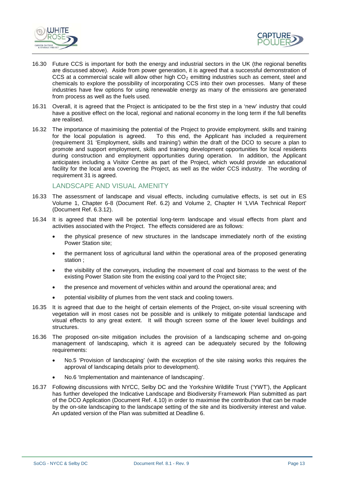



- 16.30 Future CCS is important for both the energy and industrial sectors in the UK (the regional benefits are discussed above). Aside from power generation, it is agreed that a successful demonstration of CCS at a commercial scale will allow other high  $CO<sub>2</sub>$  emitting industries such as cement, steel and chemicals to explore the possibility of incorporating CCS into their own processes. Many of these industries have few options for using renewable energy as many of the emissions are generated from process as well as the fuels used.
- 16.31 Overall, it is agreed that the Project is anticipated to be the first step in a 'new' industry that could have a positive effect on the local, regional and national economy in the long term if the full benefits are realised.
- 16.32 The importance of maximising the potential of the Project to provide employment. skills and training for the local population is agreed. To this end, the Applicant has included a requirement To this end, the Applicant has included a requirement (requirement 31 'Employment, skills and training') within the draft of the DCO to secure a plan to promote and support employment, skills and training development opportunities for local residents during construction and employment opportunities during operation. In addition, the Applicant anticipates including a Visitor Centre as part of the Project, which would provide an educational facility for the local area covering the Project, as well as the wider CCS industry. The wording of requirement 31 is agreed.

# LANDSCAPE AND VISUAL AMENITY

- 16.33 The assessment of landscape and visual effects, including cumulative effects, is set out in ES Volume 1, Chapter 6-8 (Document Ref. 6.2) and Volume 2, Chapter H 'LVIA Technical Report' (Document Ref. 6.3.12).
- 16.34 It is agreed that there will be potential long-term landscape and visual effects from plant and activities associated with the Project. The effects considered are as follows:
	- the physical presence of new structures in the landscape immediately north of the existing Power Station site;
	- the permanent loss of agricultural land within the operational area of the proposed generating station ;
	- the visibility of the conveyors, including the movement of coal and biomass to the west of the existing Power Station site from the existing coal yard to the Project site;
	- the presence and movement of vehicles within and around the operational area; and
	- potential visibility of plumes from the vent stack and cooling towers.
- 16.35 It is agreed that due to the height of certain elements of the Project, on-site visual screening with vegetation will in most cases not be possible and is unlikely to mitigate potential landscape and visual effects to any great extent. It will though screen some of the lower level buildings and structures.
- 16.36 The proposed on-site mitigation includes the provision of a landscaping scheme and on-going management of landscaping, which it is agreed can be adequately secured by the following requirements:
	- No.5 'Provision of landscaping' (with the exception of the site raising works this requires the approval of landscaping details prior to development).
	- No.6 'Implementation and maintenance of landscaping'.
- 16.37 Following discussions with NYCC, Selby DC and the Yorkshire Wildlife Trust ('YWT'), the Applicant has further developed the Indicative Landscape and Biodiversity Framework Plan submitted as part of the DCO Application (Document Ref. 4.10) in order to maximise the contribution that can be made by the on-site landscaping to the landscape setting of the site and its biodiversity interest and value. An updated version of the Plan was submitted at Deadline 6.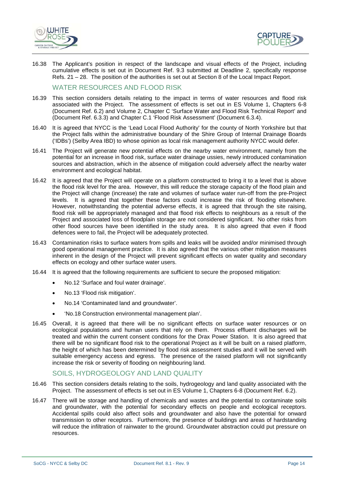



16.38 The Applicant's position in respect of the landscape and visual effects of the Project, including cumulative effects is set out in Document Ref. 9.3 submitted at Deadline 2, specifically response Refs. 21 – 28. The position of the authorities is set out at Section 8 of the Local Impact Report.

# WATER RESOURCES AND FLOOD RISK

- 16.39 This section considers details relating to the impact in terms of water resources and flood risk associated with the Project. The assessment of effects is set out in ES Volume 1, Chapters 6-8 (Document Ref. 6.2) and Volume 2, Chapter C 'Surface Water and Flood Risk Technical Report' and (Document Ref. 6.3.3) and Chapter C.1 'Flood Risk Assessment' (Document 6.3.4).
- 16.40 It is agreed that NYCC is the 'Lead Local Flood Authority' for the county of North Yorkshire but that the Project falls within the administrative boundary of the Shire Group of Internal Drainage Boards ('IDBs') (Selby Area IBD) to whose opinion as local risk management authority NYCC would defer.
- 16.41 The Project will generate new potential effects on the nearby water environment, namely from the potential for an increase in flood risk, surface water drainage ussies, newly introduced contamination sources and abstraction, which in the absence of mitigation could adversely affect the nearby water environment and ecological habitat.
- 16.42 It is agreed that the Project will operate on a platform constructed to bring it to a level that is above the flood risk level for the area. However, this will reduce the storage capacity of the flood plain and the Project will change (increase) the rate and volumes of surface water run-off from the pre-Project levels. It is agreed that together these factors could increase the risk of flooding elsewhere. However, notwithstanding the potential adverse effects, it is agreed that through the site raising, flood risk will be appropriately managed and that flood risk effects to neighbours as a result of the Project and associated loss of floodplain storage are not considered significant. No other risks from other flood sources have been identified in the study area. It is also agreed that even if flood defences were to fail, the Project will be adequately protected.
- 16.43 Contamination risks to surface waters from spills and leaks will be avoided and/or minimised through good operational management practice. It is also agreed that the various other mitigation measures inherent in the design of the Project will prevent significant effects on water quality and secondary effects on ecology and other surface water users.
- 16.44 It is agreed that the following requirements are sufficient to secure the proposed mitigation:
	- No.12 'Surface and foul water drainage'.
	- No.13 'Flood risk mitigation'.
	- No.14 'Contaminated land and groundwater'.
	- 'No.18 Construction environmental management plan'.
- 16.45 Overall, it is agreed that there will be no significant effects on surface water resources or on ecological populations and human users that rely on them. Process effluent discharges will be treated and within the current consent conditions for the Drax Power Station. It is also agreed that there will be no significant flood risk to the operational Project as it will be built on a raised platform, the height of which has been determined by flood risk assessment studies and it will be served with suitable emergency access and egress. The presence of the raised platform will not significantly increase the risk or severity of flooding on neighbouring land.

# SOILS, HYDROGEOLOGY AND LAND QUALITY

- 16.46 This section considers details relating to the soils, hydrogeology and land quality associated with the Project. The assessment of effects is set out in ES Volume 1, Chapters 6-8 (Document Ref. 6.2).
- 16.47 There will be storage and handling of chemicals and wastes and the potential to contaminate soils and groundwater, with the potential for secondary effects on people and ecological receptors. Accidental spills could also affect soils and groundwater and also have the potential for onward transmission to other receptors. Furthermore, the presence of buildings and areas of hardstanding will reduce the infiltration of rainwater to the ground. Groundwater abstraction could put pressure on resources.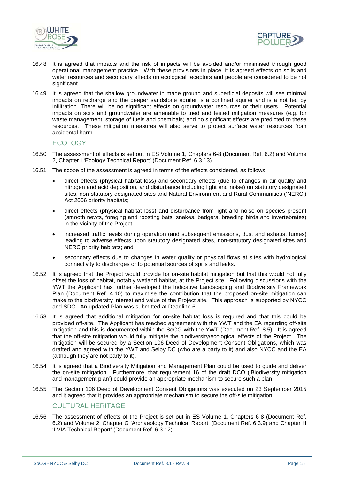



- 16.48 It is agreed that impacts and the risk of impacts will be avoided and/or minimised through good operational management practice. With these provisions in place, it is agreed effects on soils and water resources and secondary effects on ecological receptors and people are considered to be not significant.
- 16.49 It is agreed that the shallow groundwater in made ground and superficial deposits will see minimal impacts on recharge and the deeper sandstone aquifer is a confined aquifer and is a not fed by infiltration. There will be no significant effects on groundwater resources or their users. Potential impacts on soils and groundwater are amenable to tried and tested mitigation measures (e.g. for waste management, storage of fuels and chemicals) and no significant effects are predicted to these resources. These mitigation measures will also serve to protect surface water resources from accidental harm.

#### **ECOLOGY**

- 16.50 The assessment of effects is set out in ES Volume 1, Chapters 6-8 (Document Ref. 6.2) and Volume 2, Chapter I 'Ecology Technical Report' (Document Ref. 6.3.13).
- 16.51 The scope of the assessment is agreed in terms of the effects considered, as follows:
	- direct effects (physical habitat loss) and secondary effects (due to changes in air quality and nitrogen and acid deposition, and disturbance including light and noise) on statutory designated sites, non-statutory designated sites and Natural Environment and Rural Communities ('NERC') Act 2006 priority habitats;
	- direct effects (physical habitat loss) and disturbance from light and noise on species present (smooth newts, foraging and roosting bats, snakes, badgers, breeding birds and invertebrates) in the vicinity of the Project;
	- increased traffic levels during operation (and subsequent emissions, dust and exhaust fumes) leading to adverse effects upon statutory designated sites, non-statutory designated sites and NERC priority habitats; and
	- secondary effects due to changes in water quality or physical flows at sites with hydrological connectivity to discharges or to potential sources of spills and leaks.
- 16.52 It is agreed that the Project would provide for on-site habitat mitigation but that this would not fully offset the loss of habitat, notably wetland habitat, at the Project site. Following discussions with the YWT the Applicant has further developed the Indicative Landscaping and Biodiversity Framework Plan (Document Ref. 4.10) to maximise the contribution that the proposed on-site mitigation can make to the biodiversity interest and value of the Project site. This approach is supported by NYCC and SDC. An updated Plan was submitted at Deadline 6.
- 16.53 It is agreed that additional mitigation for on-site habitat loss is required and that this could be provided off-site. The Applicant has reached agreement with the YWT and the EA regarding off-site mitigation and this is documented within the SoCG with the YWT (Document Ref. 8.5). It is agreed that the off-site mitigation would fully mitigate the biodiversity/ecological effects of the Project. The mitigation will be secured by a Section 106 Deed of Development Consent Obligations, which was drafted and agreed with the YWT and Selby DC (who are a party to it) and also NYCC and the EA (although they are not party to it).
- 16.54 It is agreed that a Biodiversity Mitigation and Management Plan could be used to guide and deliver the on-site mitigation. Furthermore, that requirement 16 of the draft DCO ('Biodiversity mitigation and management plan') could provide an appropriate mechanism to secure such a plan.
- 16.55 The Section 106 Deed of Development Consent Obligations was executed on 23 September 2015 and it agreed that it provides an appropriate mechanism to secure the off-site mitigation.

#### CULTURAL HERITAGE

16.56 The assessment of effects of the Project is set out in ES Volume 1, Chapters 6-8 (Document Ref. 6.2) and Volume 2, Chapter G 'Archaeology Technical Report' (Document Ref. 6.3.9) and Chapter H 'LVIA Technical Report' (Document Ref. 6.3.12).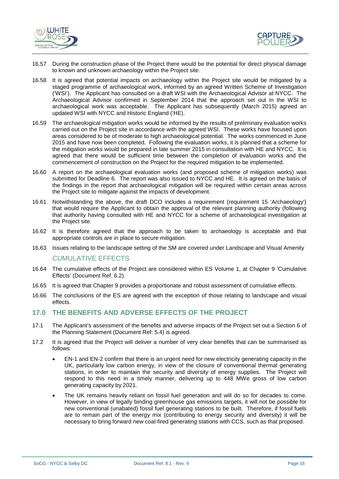



- 16.57 During the construction phase of the Project there would be the potential for direct physical damage to known and unknown archaeology within the Project site.
- 16.58 It is agreed that potential impacts on archaeology within the Project site would be mitigated by a staged programme of archaeological work, informed by an agreed Written Scheme of Investigation ('WSI'). The Applicant has consulted on a draft WSI with the Archaeological Advisor at NYCC. The Archaeological Advisor confirmed in September 2014 that the approach set out in the WSI to archaeological work was acceptable. The Applicant has subsequently (March 2015) agreed an updated WSI with NYCC and Historic England ('HE).
- 16.59 The archaeological mitigation works would be informed by the results of preliminary evaluation works carried out on the Project site in accordance with the agreed WSI. These works have focused upon areas considered to be of moderate to high archaeological potential. The works commenced in June 2015 and have now been completed. Following the evaluation works, it is planned that a scheme for the mitigation works would be prepared in late summer 2015 in consultation with HE and NYCC. It is agreed that there would be sufficient time between the completion of evaluation works and the commencement of construction on the Project for the required mitigation to be implemented.
- 16.60 A report on the archaeological evaluation works (and proposed scheme of mitigation works) was submitted for Deadline 6. The report was also issued to NYCC and HE. It is agreed on the basis of the findings in the report that archaeological mitigation will be required within certain areas across the Project site to mitigate against the impacts of development.
- 16.61 Notwithstanding the above, the draft DCO includes a requirement (requirement 15 'Archaeology') that would require the Applicant to obtain the approval of the relevant planning authority (following that authority having consulted with HE and NYCC for a scheme of archaeological investigation at the Project site.
- 16.62 It is therefore agreed that the approach to be taken to archaeology is acceptable and that appropriate controls are in place to secure mitigation.
- 16.63 Issues relating to the landscape setting of the SM are covered under Landscape and Visual Amenity

## CUMULATIVE EFFECTS

- 16.64 The cumulative effects of the Project are considered within ES Volume 1, at Chapter 9 'Cumulative Effects' (Document Ref. 6.2).
- 16.65 It is agreed that Chapter 9 provides a proportionate and robust assessment of cumulative effects.
- 16.66 The conclusions of the ES are agreed with the exception of those relating to landscape and visual effects.

# <span id="page-19-0"></span>**17.0 THE BENEFITS AND ADVERSE EFFECTS OF THE PROJECT**

- 17.1 The Applicant's assessment of the benefits and adverse impacts of the Project set out a Section 6 of the Planning Statement (Document Ref: 5.4) is agreed.
- 17.2 It is agreed that the Project will deliver a number of very clear benefits that can be summarised as follows:
	- EN-1 and EN-2 confirm that there is an urgent need for new electricity generating capacity in the UK, particularly low carbon energy, in view of the closure of conventional thermal generating stations, in order to maintain the security and diversity of energy supplies. The Project will respond to this need in a timely manner, delivering up to 448 MWe gross of low carbon generating capacity by 2021.
	- The UK remains heavily reliant on fossil fuel generation and will do so for decades to come. However, in view of legally binding greenhouse gas emissions targets, it will not be possible for new conventional (unabated) fossil fuel generating stations to be built. Therefore, if fossil fuels are to remain part of the energy mix (contributing to energy security and diversity) it will be necessary to bring forward new coal-fired generating stations with CCS, such as that proposed.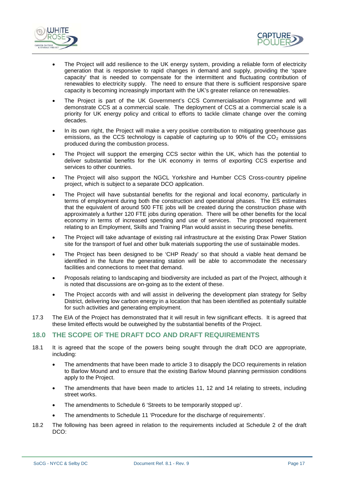



- The Project will add resilience to the UK energy system, providing a reliable form of electricity generation that is responsive to rapid changes in demand and supply, providing the 'spare capacity' that is needed to compensate for the intermittent and fluctuating contribution of renewables to electricity supply. The need to ensure that there is sufficient responsive spare capacity is becoming increasingly important with the UK's greater reliance on renewables.
- The Project is part of the UK Government's CCS Commercialisation Programme and will demonstrate CCS at a commercial scale. The deployment of CCS at a commercial scale is a priority for UK energy policy and critical to efforts to tackle climate change over the coming decades.
- In its own right, the Project will make a very positive contribution to mitigating greenhouse gas emissions, as the CCS technology is capable of capturing up to 90% of the  $CO<sub>2</sub>$  emissions produced during the combustion process.
- The Project will support the emerging CCS sector within the UK, which has the potential to deliver substantial benefits for the UK economy in terms of exporting CCS expertise and services to other countries.
- The Project will also support the NGCL Yorkshire and Humber CCS Cross-country pipeline project, which is subject to a separate DCO application.
- The Project will have substantial benefits for the regional and local economy, particularly in terms of employment during both the construction and operational phases. The ES estimates that the equivalent of around 500 FTE jobs will be created during the construction phase with approximately a further 120 FTE jobs during operation. There will be other benefits for the local economy in terms of increased spending and use of services. The proposed requirement relating to an Employment, Skills and Training Plan would assist in securing these benefits.
- The Project will take advantage of existing rail infrastructure at the existing Drax Power Station site for the transport of fuel and other bulk materials supporting the use of sustainable modes.
- The Project has been designed to be 'CHP Ready' so that should a viable heat demand be identified in the future the generating station will be able to accommodate the necessary facilities and connections to meet that demand.
- Proposals relating to landscaping and biodiversity are included as part of the Project, although it is noted that discussions are on-going as to the extent of these.
- The Project accords with and will assist in delivering the development plan strategy for Selby District, delivering low carbon energy in a location that has been identified as potentially suitable for such activities and generating employment.
- 17.3 The EIA of the Project has demonstrated that it will result in few significant effects. It is agreed that these limited effects would be outweighed by the substantial benefits of the Project.

# <span id="page-20-0"></span>**18.0 THE SCOPE OF THE DRAFT DCO AND DRAFT REQUIREMENTS**

- 18.1 It is agreed that the scope of the powers being sought through the draft DCO are appropriate, including:
	- The amendments that have been made to article 3 to disapply the DCO requirements in relation to Barlow Mound and to ensure that the existing Barlow Mound planning permission conditions apply to the Project.
	- The amendments that have been made to articles 11, 12 and 14 relating to streets, including street works.
	- The amendments to Schedule 6 'Streets to be temporarily stopped up'.
	- The amendments to Schedule 11 'Procedure for the discharge of requirements'.
- 18.2 The following has been agreed in relation to the requirements included at Schedule 2 of the draft DCO: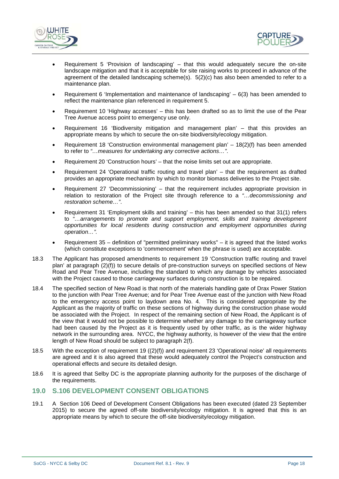



- Requirement 5 'Provision of landscaping' that this would adequately secure the on-site landscape mitigation and that it is acceptable for site raising works to proceed in advance of the agreement of the detailed landscaping scheme(s). 5(2)(c) has also been amended to refer to a maintenance plan.
- Requirement 6 'Implementation and maintenance of landscaping'  $-6(3)$  has been amended to reflect the maintenance plan referenced in requirement 5.
- Requirement 10 'Highway accesses' this has been drafted so as to limit the use of the Pear Tree Avenue access point to emergency use only.
- Requirement 16 'Biodiversity mitigation and management plan' that this provides an appropriate means by which to secure the on-site biodiversity/ecology mitigation.
- Requirement 18 'Construction environmental management plan' 18(2)(f) has been amended to refer to *"…measures for undertaking any corrective actions…"*.
- Requirement 20 'Construction hours' that the noise limits set out are appropriate.
- Requirement 24 'Operational traffic routing and travel plan' that the requirement as drafted provides an appropriate mechanism by which to monitor biomass deliveries to the Project site.
- Requirement 27 'Decommissioning' that the requirement includes appropriate provision in relation to restoration of the Project site through reference to a *"…decommissioning and restoration scheme…"*.
- Requirement 31 'Employment skills and training' this has been amended so that 31(1) refers to *"…arrangements to promote and support employment, skills and training development opportunities for local residents during construction and employment opportunities during operation…".*
- Requirement  $35$  definition of "permitted preliminary works" it is agreed that the listed works (which constitute exceptions to 'commencement' when the phrase is used) are acceptable.
- 18.3 The Applicant has proposed amendments to requirement 19 'Construction traffic routing and travel plan' at paragraph (2)(f)) to secure details of pre-construction surveys on specified sections of New Road and Pear Tree Avenue, including the standard to which any damage by vehicles associated with the Project caused to those carriageway surfaces during construction is to be repaired.
- 18.4 The specified section of New Road is that north of the materials handling gate of Drax Power Station to the junction with Pear Tree Avenue; and for Pear Tree Avenue east of the junction with New Road to the emergency access point to laydown area No. 4. This is considered appropriate by the Applicant as the majority of traffic on these sections of highway during the construction phase would be associated with the Project. In respect of the remaining section of New Road, the Applicant is of the view that it would not be possible to determine whether any damage to the carriageway surface had been caused by the Project as it is frequently used by other traffic, as is the wider highway network in the surrounding area. NYCC, the highway authority, is however of the view that the entire length of New Road should be subject to paragraph 2(f).
- 18.5 With the exception of requirement 19 ((2)(f)) and requirement 23 'Operational noise' all requirements are agreed and it is also agreed that these would adequately control the Project's construction and operational effects and secure its detailed design.
- 18.6 It is agreed that Selby DC is the appropriate planning authority for the purposes of the discharge of the requirements.

# <span id="page-21-0"></span>**19.0 S.106 DEVELOPMENT CONSENT OBLIGATIONS**

19.1 A Section 106 Deed of Development Consent Obligations has been executed (dated 23 September 2015) to secure the agreed off-site biodiversity/ecology mitigation. It is agreed that this is an appropriate means by which to secure the off-site biodiversity/ecology mitigation.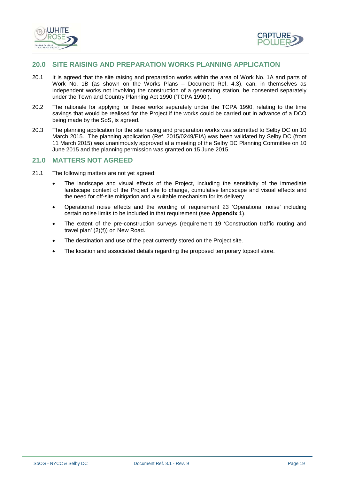



# <span id="page-22-0"></span>**20.0 SITE RAISING AND PREPARATION WORKS PLANNING APPLICATION**

- 20.1 It is agreed that the site raising and preparation works within the area of Work No. 1A and parts of Work No. 1B (as shown on the Works Plans – Document Ref. 4.3), can, in themselves as independent works not involving the construction of a generating station, be consented separately under the Town and Country Planning Act 1990 ('TCPA 1990').
- 20.2 The rationale for applying for these works separately under the TCPA 1990, relating to the time savings that would be realised for the Project if the works could be carried out in advance of a DCO being made by the SoS, is agreed.
- 20.3 The planning application for the site raising and preparation works was submitted to Selby DC on 10 March 2015. The planning application (Ref. 2015/0249/EIA) was been validated by Selby DC (from 11 March 2015) was unanimously approved at a meeting of the Selby DC Planning Committee on 10 June 2015 and the planning permission was granted on 15 June 2015.

# <span id="page-22-1"></span>**21.0 MATTERS NOT AGREED**

- 21.1 The following matters are not yet agreed:
	- The landscape and visual effects of the Project, including the sensitivity of the immediate landscape context of the Project site to change, cumulative landscape and visual effects and the need for off-site mitigation and a suitable mechanism for its delivery.
	- Operational noise effects and the wording of requirement 23 'Operational noise' including certain noise limits to be included in that requirement (see **Appendix 1**).
	- The extent of the pre-construction surveys (requirement 19 'Construction traffic routing and travel plan' (2)(f)) on New Road.
	- The destination and use of the peat currently stored on the Project site.
	- The location and associated details regarding the proposed temporary topsoil store.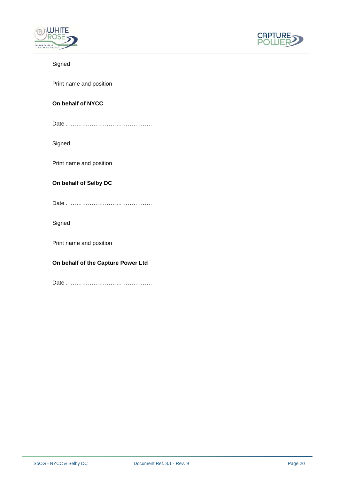



# Signed

Print name and position

# **On behalf of NYCC**

| Date |
|------|
|      |

Signed

Print name and position

# **On behalf of Selby DC**

Signed

Print name and position

# **On behalf of the Capture Power Ltd**

Date . …………………………………….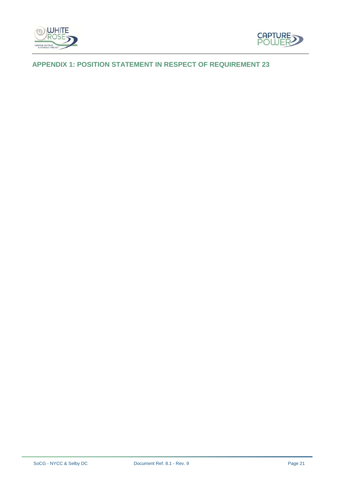



# <span id="page-24-0"></span>**APPENDIX 1: POSITION STATEMENT IN RESPECT OF REQUIREMENT 23**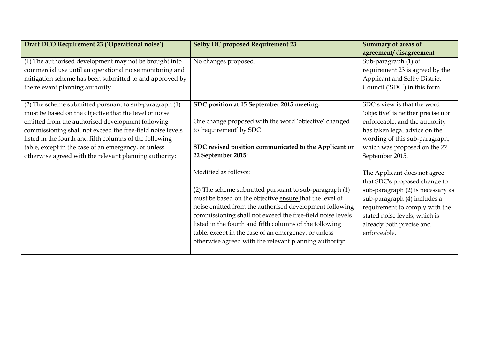| Draft DCO Requirement 23 ('Operational noise')             | <b>Selby DC proposed Requirement 23</b>                    | <b>Summary of areas of</b>         |
|------------------------------------------------------------|------------------------------------------------------------|------------------------------------|
|                                                            |                                                            | agreement/disagreement             |
| (1) The authorised development may not be brought into     | No changes proposed.                                       | Sub-paragraph (1) of               |
| commercial use until an operational noise monitoring and   |                                                            | requirement 23 is agreed by the    |
| mitigation scheme has been submitted to and approved by    |                                                            | Applicant and Selby District       |
| the relevant planning authority.                           |                                                            | Council ('SDC') in this form.      |
|                                                            |                                                            |                                    |
| (2) The scheme submitted pursuant to sub-paragraph (1)     | SDC position at 15 September 2015 meeting:                 | SDC's view is that the word        |
| must be based on the objective that the level of noise     |                                                            | 'objective' is neither precise nor |
| emitted from the authorised development following          | One change proposed with the word 'objective' changed      | enforceable, and the authority     |
| commissioning shall not exceed the free-field noise levels | to 'requirement' by SDC                                    | has taken legal advice on the      |
| listed in the fourth and fifth columns of the following    |                                                            | wording of this sub-paragraph,     |
| table, except in the case of an emergency, or unless       | SDC revised position communicated to the Applicant on      | which was proposed on the 22       |
| otherwise agreed with the relevant planning authority:     | 22 September 2015:                                         | September 2015.                    |
|                                                            |                                                            |                                    |
|                                                            | Modified as follows:                                       | The Applicant does not agree       |
|                                                            |                                                            | that SDC's proposed change to      |
|                                                            | (2) The scheme submitted pursuant to sub-paragraph (1)     | sub-paragraph (2) is necessary as  |
|                                                            | must be based on the objective ensure that the level of    | sub-paragraph (4) includes a       |
|                                                            | noise emitted from the authorised development following    | requirement to comply with the     |
|                                                            | commissioning shall not exceed the free-field noise levels | stated noise levels, which is      |
|                                                            | listed in the fourth and fifth columns of the following    | already both precise and           |
|                                                            | table, except in the case of an emergency, or unless       | enforceable.                       |
|                                                            | otherwise agreed with the relevant planning authority:     |                                    |
|                                                            |                                                            |                                    |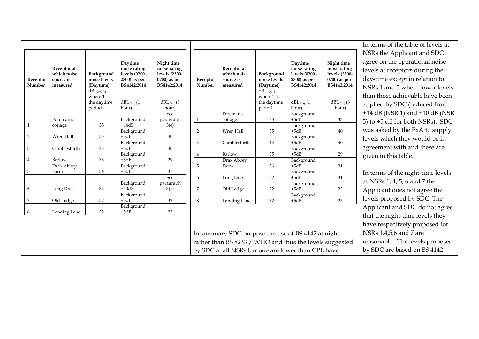|                           |                    |                                     |                                     |                                     |              |                                                         |                                     |                                     |                                     | In terms o       |
|---------------------------|--------------------|-------------------------------------|-------------------------------------|-------------------------------------|--------------|---------------------------------------------------------|-------------------------------------|-------------------------------------|-------------------------------------|------------------|
|                           |                    |                                     |                                     |                                     |              |                                                         |                                     |                                     |                                     | NSRs the         |
|                           | Receptor at        |                                     | Daytime<br>noise rating             | Night time<br>noise rating          |              | Receptor at                                             |                                     | Daytime<br>noise rating             | Night time<br>noise rating          | agree on t       |
|                           | which noise        | Background                          | levels (0700 -                      | levels (2300-                       |              | which noise                                             | Background                          | levels (0700 -                      | levels (2300-                       | levels at re     |
| Receptor                  | source is          | noise levels                        | 2300) as per                        | 0700) as per                        | Receptor     | source is                                               | noise levels                        | 2300) as per                        | 0700) as per                        | day-time         |
| Number                    | measured           | (Daytime)                           | BS4142:2014                         | BS4142:2014                         | Number       | measured                                                | (Daytime)                           | BS4142:2014                         | BS4142:2014                         | NSRs 1 ar        |
|                           |                    | dBL <sub>A90(T)</sub><br>where T is |                                     |                                     |              |                                                         | dBL <sub>A90(T)</sub><br>where T is |                                     |                                     | than those       |
|                           |                    | the daytime<br>period               | $dBL$ <sub>Aeq</sub> $(1)$<br>hour) | $dBL$ <sub>Aeq</sub> $(8)$<br>hour) |              |                                                         | the daytime<br>period               | $dBL$ <sub>Aeq</sub> $(1)$<br>hour) | $dBL$ <sub>Aeq</sub> $(8)$<br>hour) | applied by       |
|                           |                    |                                     |                                     | See                                 |              | Foreman's                                               |                                     | Background                          |                                     | $+14$ dB (N      |
|                           | Foreman's          |                                     | Background                          | paragraph                           | $\mathbf{1}$ | cottage                                                 | 35                                  | $+5dB$                              | 33                                  | 5) to $+5$ dl    |
| 1                         | cottage            | 35                                  | $+14dB$<br>Background               | 3(e)                                |              | Wren Hall                                               | 35                                  | Background<br>$+5dB$                |                                     | was asked        |
| $\overline{2}$            | Wren Hall          | 35                                  | $+5dB$                              | 40                                  | 2            |                                                         |                                     | Background                          | $40\,$                              |                  |
|                           |                    |                                     | Background                          |                                     | 3            | Camblesforth                                            | 43                                  | $+5dB$                              | 40                                  | levels whi       |
| $\ensuremath{\mathbf{3}}$ | Camblesforth       | 43                                  | $+5dB$                              | 40                                  |              |                                                         |                                     | Background                          |                                     | agreemen         |
|                           |                    |                                     | Background                          |                                     | 4            | Barlow                                                  | 35                                  | $+5dB$                              | 29                                  | given in tl      |
| $\overline{4}$            | Barlow             | 35                                  | $+5dB$                              | 29                                  |              | Drax Abbey                                              |                                     | Background<br>$+5dB$                |                                     |                  |
| $\mathbf 5$               | Drax Abbey<br>Farm | 36                                  | Background<br>$+5dB$                | 31                                  | 5            | Farm                                                    | 36                                  | Background                          | 31                                  |                  |
|                           |                    |                                     |                                     | See                                 | 6            | Long Drax                                               | 32                                  | $+5dB$                              | 31                                  | In terms o       |
| 6                         | Long Drax          | 32                                  | Background<br>$+10dB$               | paragraph<br>3(e)                   | 7            | Old Lodge                                               | 32                                  | Background<br>$+5dB$                | 32                                  | at NSRs 1,       |
|                           |                    |                                     | Background                          |                                     |              |                                                         |                                     | Background                          |                                     | Applicant        |
| $\sqrt{2}$                | Old Lodge          | 32                                  | $+5dB$                              | 32                                  | 8            | Landing Lane                                            | 32                                  | $+5dB$                              | 25                                  | levels pro       |
| 8                         | Landing Lane       | 32                                  | Background<br>$+5dB$                | 25                                  |              |                                                         |                                     |                                     |                                     | Applicant        |
|                           |                    |                                     |                                     |                                     |              |                                                         |                                     |                                     |                                     | that the ni      |
|                           |                    |                                     |                                     |                                     |              |                                                         |                                     |                                     |                                     | have resp        |
|                           |                    |                                     |                                     |                                     |              | In summary SDC propose the use of BS 4142 at night      |                                     |                                     |                                     | <b>NSRs</b> 1,4, |
|                           |                    |                                     |                                     |                                     |              | rather than BS 8233 / WHO and thus the levels suggested |                                     |                                     |                                     | reasonable       |
|                           |                    |                                     |                                     |                                     |              | by SDC at all NSRs bar one are lower than CPL have      |                                     |                                     |                                     | by SDC ar        |

 $\int$  of the table of levels at Applicant and SDC the operational noise eceptors during the except in relation to nd 5 where lower levels e achievable have been y SDC (reduced from  $\sqrt{SR}$  1) and  $+10$  dB (NSR B for both NSRs). SDC d by the ExA to supply ich they would be in at with and these are his table.

of the night-time levels 4, 5, 6 and 7 the does not agree the posed by SDC. The and SDC do not agree ight-time levels they ectively proposed for  $5.6$  and  $7$  are le. The levels proposed re based on BS 4142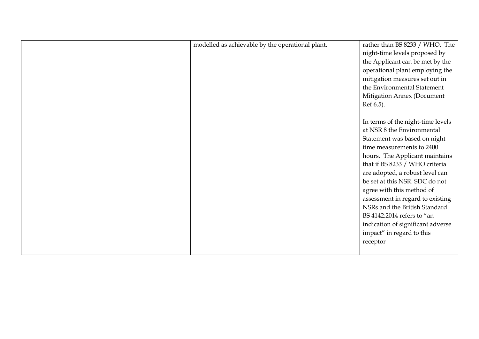| modelled as achievable by the operational plant. | rather than BS 8233 / WHO. The    |
|--------------------------------------------------|-----------------------------------|
|                                                  | night-time levels proposed by     |
|                                                  | the Applicant can be met by the   |
|                                                  | operational plant employing the   |
|                                                  | mitigation measures set out in    |
|                                                  | the Environmental Statement       |
|                                                  | Mitigation Annex (Document        |
|                                                  | Ref 6.5).                         |
|                                                  |                                   |
|                                                  | In terms of the night-time levels |
|                                                  | at NSR 8 the Environmental        |
|                                                  | Statement was based on night      |
|                                                  | time measurements to 2400         |
|                                                  | hours. The Applicant maintains    |
|                                                  | that if BS 8233 / WHO criteria    |
|                                                  | are adopted, a robust level can   |
|                                                  | be set at this NSR. SDC do not    |
|                                                  | agree with this method of         |
|                                                  | assessment in regard to existing  |
|                                                  | NSRs and the British Standard     |
|                                                  | BS 4142:2014 refers to "an        |
|                                                  | indication of significant adverse |
|                                                  | impact" in regard to this         |
|                                                  | receptor                          |
|                                                  |                                   |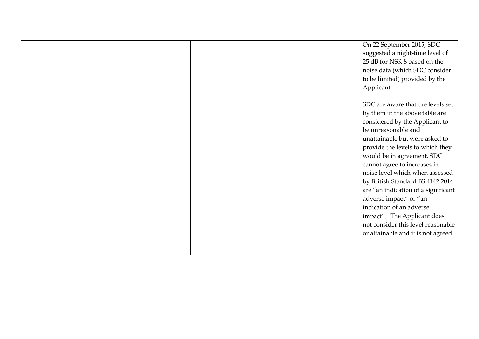|  | On 22 September 2015, SDC           |
|--|-------------------------------------|
|  | suggested a night-time level of     |
|  | 25 dB for NSR 8 based on the        |
|  | noise data (which SDC consider      |
|  | to be limited) provided by the      |
|  | Applicant                           |
|  |                                     |
|  | SDC are aware that the levels set   |
|  | by them in the above table are      |
|  | considered by the Applicant to      |
|  | be unreasonable and                 |
|  | unattainable but were asked to      |
|  | provide the levels to which they    |
|  | would be in agreement. SDC          |
|  | cannot agree to increases in        |
|  | noise level which when assessed     |
|  | by British Standard BS 4142:2014    |
|  | are "an indication of a significant |
|  | adverse impact" or "an              |
|  | indication of an adverse            |
|  | impact". The Applicant does         |
|  | not consider this level reasonable  |
|  | or attainable and it is not agreed. |
|  |                                     |
|  |                                     |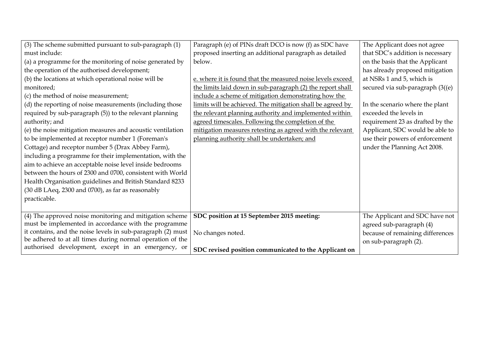| (3) The scheme submitted pursuant to sub-paragraph (1)      | Paragraph (e) of PINs draft DCO is now (f) as SDC have     | The Applicant does not agree     |
|-------------------------------------------------------------|------------------------------------------------------------|----------------------------------|
| must include:                                               | proposed inserting an additional paragraph as detailed     | that SDC's addition is necessary |
| (a) a programme for the monitoring of noise generated by    | below.                                                     | on the basis that the Applicant  |
| the operation of the authorised development;                |                                                            | has already proposed mitigation  |
| (b) the locations at which operational noise will be        | e. where it is found that the measured noise levels exceed | at NSRs 1 and 5, which is        |
| monitored;                                                  | the limits laid down in sub-paragraph (2) the report shall | secured via sub-paragraph (3((e) |
| (c) the method of noise measurement;                        | include a scheme of mitigation demonstrating how the       |                                  |
| (d) the reporting of noise measurements (including those    | limits will be achieved. The mitigation shall be agreed by | In the scenario where the plant  |
| required by sub-paragraph (5)) to the relevant planning     | the relevant planning authority and implemented within     | exceeded the levels in           |
| authority; and                                              | agreed timescales. Following the completion of the         | requirement 23 as drafted by the |
| (e) the noise mitigation measures and acoustic ventilation  | mitigation measures retesting as agreed with the relevant  | Applicant, SDC would be able to  |
| to be implemented at receptor number 1 (Foreman's           | planning authority shall be undertaken; and                | use their powers of enforcement  |
| Cottage) and receptor number 5 (Drax Abbey Farm),           |                                                            | under the Planning Act 2008.     |
| including a programme for their implementation, with the    |                                                            |                                  |
| aim to achieve an acceptable noise level inside bedrooms    |                                                            |                                  |
| between the hours of 2300 and 0700, consistent with World   |                                                            |                                  |
| Health Organisation guidelines and British Standard 8233    |                                                            |                                  |
| (30 dB LAeq, 2300 and 0700), as far as reasonably           |                                                            |                                  |
| practicable.                                                |                                                            |                                  |
|                                                             |                                                            |                                  |
| (4) The approved noise monitoring and mitigation scheme     | SDC position at 15 September 2015 meeting:                 | The Applicant and SDC have not   |
| must be implemented in accordance with the programme        |                                                            | agreed sub-paragraph (4)         |
| it contains, and the noise levels in sub-paragraph (2) must | No changes noted.                                          | because of remaining differences |
| be adhered to at all times during normal operation of the   |                                                            | on sub-paragraph (2).            |
| authorised development, except in an emergency, or          | SDC revised position communicated to the Applicant on      |                                  |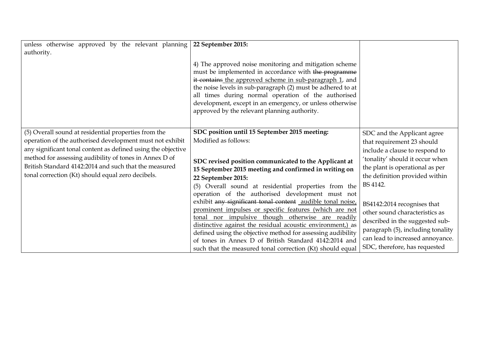| unless otherwise approved by the relevant planning           | 22 September 2015:                                          |                                   |
|--------------------------------------------------------------|-------------------------------------------------------------|-----------------------------------|
| authority.                                                   |                                                             |                                   |
|                                                              |                                                             |                                   |
|                                                              | 4) The approved noise monitoring and mitigation scheme      |                                   |
|                                                              | must be implemented in accordance with the programme        |                                   |
|                                                              | it contains the approved scheme in sub-paragraph 1, and     |                                   |
|                                                              | the noise levels in sub-paragraph (2) must be adhered to at |                                   |
|                                                              | all times during normal operation of the authorised         |                                   |
|                                                              | development, except in an emergency, or unless otherwise    |                                   |
|                                                              | approved by the relevant planning authority.                |                                   |
|                                                              |                                                             |                                   |
|                                                              |                                                             |                                   |
| (5) Overall sound at residential properties from the         | SDC position until 15 September 2015 meeting:               | SDC and the Applicant agree       |
| operation of the authorised development must not exhibit     | Modified as follows:                                        | that requirement 23 should        |
| any significant tonal content as defined using the objective |                                                             | include a clause to respond to    |
| method for assessing audibility of tones in Annex D of       |                                                             | 'tonality' should it occur when   |
| British Standard 4142:2014 and such that the measured        | SDC revised position communicated to the Applicant at       | the plant is operational as per   |
| tonal correction (Kt) should equal zero decibels.            | 15 September 2015 meeting and confirmed in writing on       |                                   |
|                                                              | 22 September 2015:                                          | the definition provided within    |
|                                                              | (5) Overall sound at residential properties from the        | BS 4142.                          |
|                                                              | operation of the authorised development must not            |                                   |
|                                                              | exhibit any significant tonal content audible tonal noise,  | BS4142:2014 recognises that       |
|                                                              | prominent impulses or specific features (which are not      | other sound characteristics as    |
|                                                              | tonal nor impulsive though otherwise are readily            | described in the suggested sub-   |
|                                                              | distinctive against the residual acoustic environment,) as  |                                   |
|                                                              | defined using the objective method for assessing audibility | paragraph (5), including tonality |
|                                                              | of tones in Annex D of British Standard 4142:2014 and       | can lead to increased annoyance.  |
|                                                              | such that the measured tonal correction (Kt) should equal   | SDC, therefore, has requested     |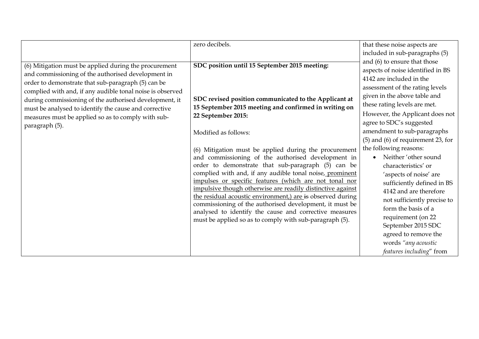|                                                                                                                                                                                                                                                                                                                                                                                                                           | zero decibels.                                                                                                                                                                        | that these noise aspects are                                                                                                     |                          |                                        |  |
|---------------------------------------------------------------------------------------------------------------------------------------------------------------------------------------------------------------------------------------------------------------------------------------------------------------------------------------------------------------------------------------------------------------------------|---------------------------------------------------------------------------------------------------------------------------------------------------------------------------------------|----------------------------------------------------------------------------------------------------------------------------------|--------------------------|----------------------------------------|--|
|                                                                                                                                                                                                                                                                                                                                                                                                                           |                                                                                                                                                                                       | included in sub-paragraphs (5)                                                                                                   |                          |                                        |  |
| (6) Mitigation must be applied during the procurement<br>and commissioning of the authorised development in<br>order to demonstrate that sub-paragraph (5) can be<br>complied with and, if any audible tonal noise is observed<br>during commissioning of the authorised development, it<br>must be analysed to identify the cause and corrective<br>measures must be applied so as to comply with sub-<br>paragraph (5). | SDC position until 15 September 2015 meeting:<br>SDC revised position communicated to the Applicant at<br>15 September 2015 meeting and confirmed in writing on<br>22 September 2015: | and (6) to ensure that those<br>aspects of noise identified in BS<br>4142 are included in the<br>assessment of the rating levels |                          |                                        |  |
|                                                                                                                                                                                                                                                                                                                                                                                                                           |                                                                                                                                                                                       |                                                                                                                                  |                          | given in the above table and           |  |
|                                                                                                                                                                                                                                                                                                                                                                                                                           |                                                                                                                                                                                       |                                                                                                                                  |                          | these rating levels are met.           |  |
|                                                                                                                                                                                                                                                                                                                                                                                                                           |                                                                                                                                                                                       |                                                                                                                                  |                          | However, the Applicant does not        |  |
|                                                                                                                                                                                                                                                                                                                                                                                                                           |                                                                                                                                                                                       |                                                                                                                                  | agree to SDC's suggested |                                        |  |
|                                                                                                                                                                                                                                                                                                                                                                                                                           |                                                                                                                                                                                       |                                                                                                                                  | Modified as follows:     | amendment to sub-paragraphs            |  |
|                                                                                                                                                                                                                                                                                                                                                                                                                           |                                                                                                                                                                                       |                                                                                                                                  |                          | $(5)$ and $(6)$ of requirement 23, for |  |
|                                                                                                                                                                                                                                                                                                                                                                                                                           | (6) Mitigation must be applied during the procurement                                                                                                                                 |                                                                                                                                  | the following reasons:   |                                        |  |
|                                                                                                                                                                                                                                                                                                                                                                                                                           | and commissioning of the authorised development in                                                                                                                                    | Neither 'other sound<br>$\bullet$                                                                                                |                          |                                        |  |
|                                                                                                                                                                                                                                                                                                                                                                                                                           | order to demonstrate that sub-paragraph (5) can be                                                                                                                                    | characteristics' or                                                                                                              |                          |                                        |  |
|                                                                                                                                                                                                                                                                                                                                                                                                                           | complied with and, if any audible tonal noise, prominent                                                                                                                              | 'aspects of noise' are                                                                                                           |                          |                                        |  |
|                                                                                                                                                                                                                                                                                                                                                                                                                           | impulses or specific features (which are not tonal nor                                                                                                                                | sufficiently defined in BS                                                                                                       |                          |                                        |  |
|                                                                                                                                                                                                                                                                                                                                                                                                                           | impulsive though otherwise are readily distinctive against                                                                                                                            | 4142 and are therefore                                                                                                           |                          |                                        |  |
|                                                                                                                                                                                                                                                                                                                                                                                                                           | the residual acoustic environment,) are is observed during<br>commissioning of the authorised development, it must be                                                                 | not sufficiently precise to                                                                                                      |                          |                                        |  |
|                                                                                                                                                                                                                                                                                                                                                                                                                           | analysed to identify the cause and corrective measures                                                                                                                                | form the basis of a                                                                                                              |                          |                                        |  |
|                                                                                                                                                                                                                                                                                                                                                                                                                           | must be applied so as to comply with sub-paragraph (5).                                                                                                                               | requirement (on 22                                                                                                               |                          |                                        |  |
|                                                                                                                                                                                                                                                                                                                                                                                                                           |                                                                                                                                                                                       | September 2015 SDC                                                                                                               |                          |                                        |  |
|                                                                                                                                                                                                                                                                                                                                                                                                                           |                                                                                                                                                                                       | agreed to remove the                                                                                                             |                          |                                        |  |
|                                                                                                                                                                                                                                                                                                                                                                                                                           |                                                                                                                                                                                       | words "any acoustic                                                                                                              |                          |                                        |  |
|                                                                                                                                                                                                                                                                                                                                                                                                                           |                                                                                                                                                                                       | features including" from                                                                                                         |                          |                                        |  |